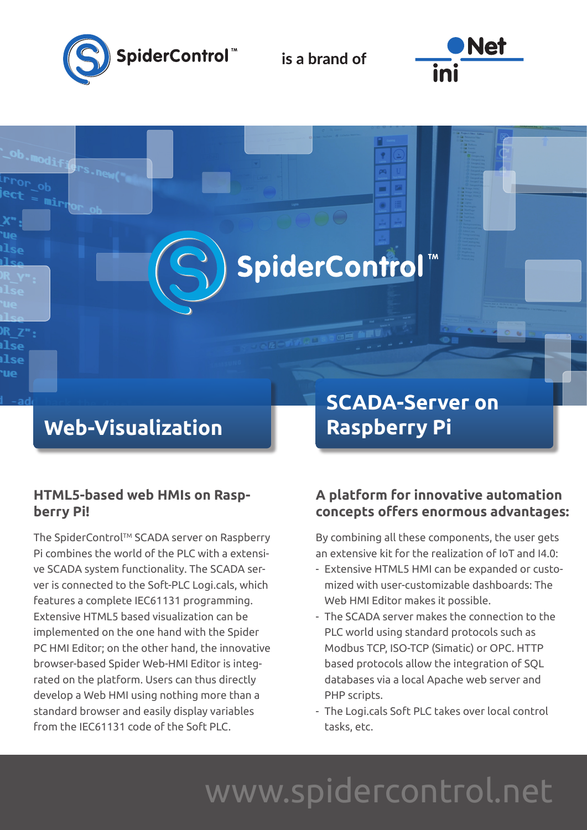

is a brand of

SpiderControl



## **Web-Visualization**

### **HTML5-based web HMIs on Raspberry Pi!**

The SpiderControl™ SCADA server on Raspberry Pi combines the world of the PLC with a extensive SCADA system functionality. The SCADA server is connected to the Soft-PLC Logi.cals, which features a complete IEC61131 programming. Extensive HTML5 based visualization can be implemented on the one hand with the Spider PC HMI Editor; on the other hand, the innovative browser-based Spider Web-HMI Editor is integrated on the platform. Users can thus directly develop a Web HMI using nothing more than a standard browser and easily display variables from the IEC61131 code of the Soft PLC.

## **SCADA-Server on Raspberry Pi**

### **A platform for innovative automation concepts offers enormous advantages:**

By combining all these components, the user gets an extensive kit for the realization of IoT and I4.0:

- Extensive HTML5 HMI can be expanded or customized with user-customizable dashboards: The Web HMI Editor makes it possible.
- The SCADA server makes the connection to the PLC world using standard protocols such as Modbus TCP, ISO-TCP (Simatic) or OPC. HTTP based protocols allow the integration of SQL databases via a local Apache web server and PHP scripts.
- The Logi.cals Soft PLC takes over local control tasks, etc.

# www.spidercontrol.net